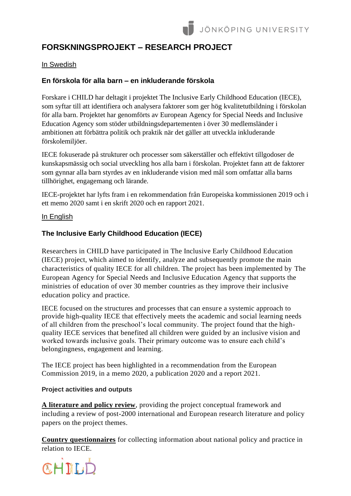# **FORSKNINGSPROJEKT – RESEARCH PROJECT**

## In Swedish

# **En förskola för alla barn – en inkluderande förskola**

Forskare i CHILD har deltagit i projektet The Inclusive Early Childhood Education (IECE), som syftar till att identifiera och analysera faktorer som ger hög kvalitetutbildning i förskolan för alla barn. Projektet har genomförts av European Agency for Special Needs and Inclusive Education Agency som stöder utbildningsdepartementen i över 30 medlemsländer i ambitionen att förbättra politik och praktik när det gäller att utveckla inkluderande förskolemiljöer.

IECE fokuserade på strukturer och processer som säkerställer och effektivt tillgodoser de kunskapsmässig och social utveckling hos alla barn i förskolan. Projektet fann att de faktorer som gynnar alla barn styrdes av en inkluderande vision med mål som omfattar alla barns tillhörighet, engagemang och lärande.

IECE-projektet har lyfts fram i en rekommendation från Europeiska kommissionen 2019 och i ett memo 2020 samt i en skrift 2020 och en rapport 2021.

#### In English

## **The Inclusive Early Childhood Education (IECE)**

Researchers in CHILD have participated in The Inclusive Early Childhood Education (IECE) project, which aimed to identify, analyze and subsequently promote the main characteristics of quality IECE for all children. The project has been implemented by The European Agency for Special Needs and Inclusive Education Agency that supports the ministries of education of over 30 member countries as they improve their inclusive education policy and practice.

IECE focused on the structures and processes that can ensure a systemic approach to provide high-quality IECE that effectively meets the academic and social learning needs of all children from the preschool's local community. The project found that the highquality IECE services that benefited all children were guided by an inclusive vision and worked towards inclusive goals. Their primary outcome was to ensure each child's belongingness, engagement and learning.

The IECE project has been highlighted in a recommendation from the European Commission 2019, in a memo 2020, a publication 2020 and a report 2021.

#### **Project activities and outputs**

**A [literature and policy review](https://www.european-agency.org/publications/reviews/iece-literature-review)**, providing the project conceptual framework and including a review of post-2000 international and European research literature and policy papers on the project themes.

**[Country questionnaires](https://www.european-agency.org/projects/iece/country-questionnaires)** for collecting information about national policy and practice in relation to IECE.